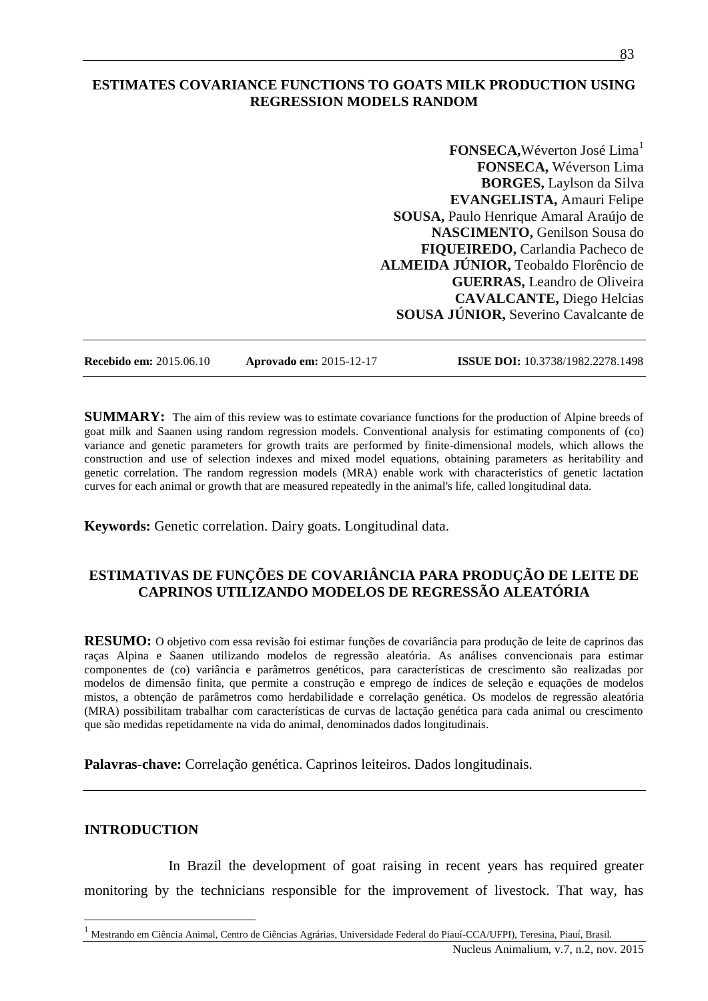## **ESTIMATES COVARIANCE FUNCTIONS TO GOATS MILK PRODUCTION USING REGRESSION MODELS RANDOM**

**FONSECA, Wéverton José Lima<sup>1</sup> FONSECA,** Wéverson Lima **BORGES,** Laylson da Silva **EVANGELISTA,** Amauri Felipe **SOUSA,** Paulo Henrique Amaral Araújo de **NASCIMENTO,** Genilson Sousa do **FIQUEIREDO,** Carlandia Pacheco de **ALMEIDA JÚNIOR,** Teobaldo Florêncio de **GUERRAS,** Leandro de Oliveira **CAVALCANTE,** Diego Helcias **SOUSA JÚNIOR,** Severino Cavalcante de

**Recebido em:** 2015.06.10 **Aprovado em:** 2015-12-17 **ISSUE DOI:** 10.3738/1982.2278.1498

**SUMMARY:** The aim of this review was to estimate covariance functions for the production of Alpine breeds of goat milk and Saanen using random regression models. Conventional analysis for estimating components of (co) variance and genetic parameters for growth traits are performed by finite-dimensional models, which allows the construction and use of selection indexes and mixed model equations, obtaining parameters as heritability and genetic correlation. The random regression models (MRA) enable work with characteristics of genetic lactation curves for each animal or growth that are measured repeatedly in the animal's life, called longitudinal data.

**Keywords:** Genetic correlation. Dairy goats. Longitudinal data.

# **ESTIMATIVAS DE FUNÇÕES DE COVARIÂNCIA PARA PRODUÇÃO DE LEITE DE CAPRINOS UTILIZANDO MODELOS DE REGRESSÃO ALEATÓRIA**

**RESUMO:** O objetivo com essa revisão foi estimar funções de covariância para produção de leite de caprinos das raças Alpina e Saanen utilizando modelos de regressão aleatória. As análises convencionais para estimar componentes de (co) variância e parâmetros genéticos, para características de crescimento são realizadas por modelos de dimensão finita, que permite a construção e emprego de índices de seleção e equações de modelos mistos, a obtenção de parâmetros como herdabilidade e correlação genética. Os modelos de regressão aleatória (MRA) possibilitam trabalhar com características de curvas de lactação genética para cada animal ou crescimento que são medidas repetidamente na vida do animal, denominados dados longitudinais.

**Palavras-chave:** Correlação genética. Caprinos leiteiros. Dados longitudinais.

### **INTRODUCTION**

 $\overline{a}$ 

In Brazil the development of goat raising in recent years has required greater monitoring by the technicians responsible for the improvement of livestock. That way, has

<sup>1</sup> Mestrando em Ciência Animal, Centro de Ciências Agrárias, Universidade Federal do Piauí-CCA/UFPI), Teresina, Piauí, Brasil.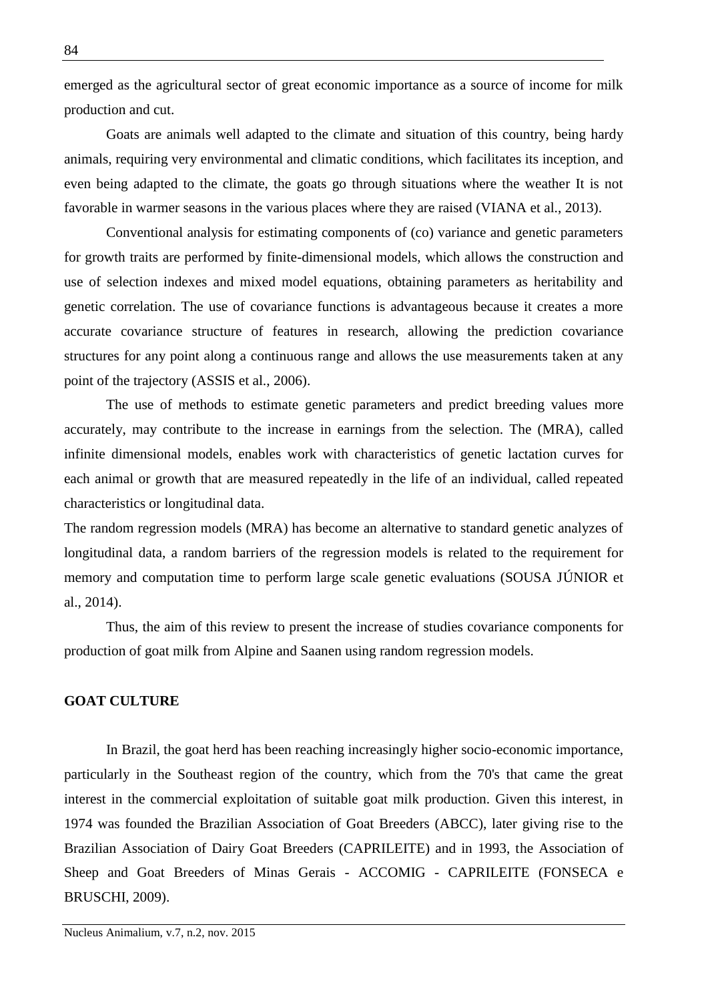emerged as the agricultural sector of great economic importance as a source of income for milk production and cut.

Goats are animals well adapted to the climate and situation of this country, being hardy animals, requiring very environmental and climatic conditions, which facilitates its inception, and even being adapted to the climate, the goats go through situations where the weather It is not favorable in warmer seasons in the various places where they are raised (VIANA et al., 2013).

Conventional analysis for estimating components of (co) variance and genetic parameters for growth traits are performed by finite-dimensional models, which allows the construction and use of selection indexes and mixed model equations, obtaining parameters as heritability and genetic correlation. The use of covariance functions is advantageous because it creates a more accurate covariance structure of features in research, allowing the prediction covariance structures for any point along a continuous range and allows the use measurements taken at any point of the trajectory (ASSIS et al., 2006).

The use of methods to estimate genetic parameters and predict breeding values more accurately, may contribute to the increase in earnings from the selection. The (MRA), called infinite dimensional models, enables work with characteristics of genetic lactation curves for each animal or growth that are measured repeatedly in the life of an individual, called repeated characteristics or longitudinal data.

The random regression models (MRA) has become an alternative to standard genetic analyzes of longitudinal data, a random barriers of the regression models is related to the requirement for memory and computation time to perform large scale genetic evaluations (SOUSA JÚNIOR et al., 2014).

Thus, the aim of this review to present the increase of studies covariance components for production of goat milk from Alpine and Saanen using random regression models.

# **GOAT CULTURE**

In Brazil, the goat herd has been reaching increasingly higher socio-economic importance, particularly in the Southeast region of the country, which from the 70's that came the great interest in the commercial exploitation of suitable goat milk production. Given this interest, in 1974 was founded the Brazilian Association of Goat Breeders (ABCC), later giving rise to the Brazilian Association of Dairy Goat Breeders (CAPRILEITE) and in 1993, the Association of Sheep and Goat Breeders of Minas Gerais - ACCOMIG - CAPRILEITE (FONSECA e BRUSCHI, 2009).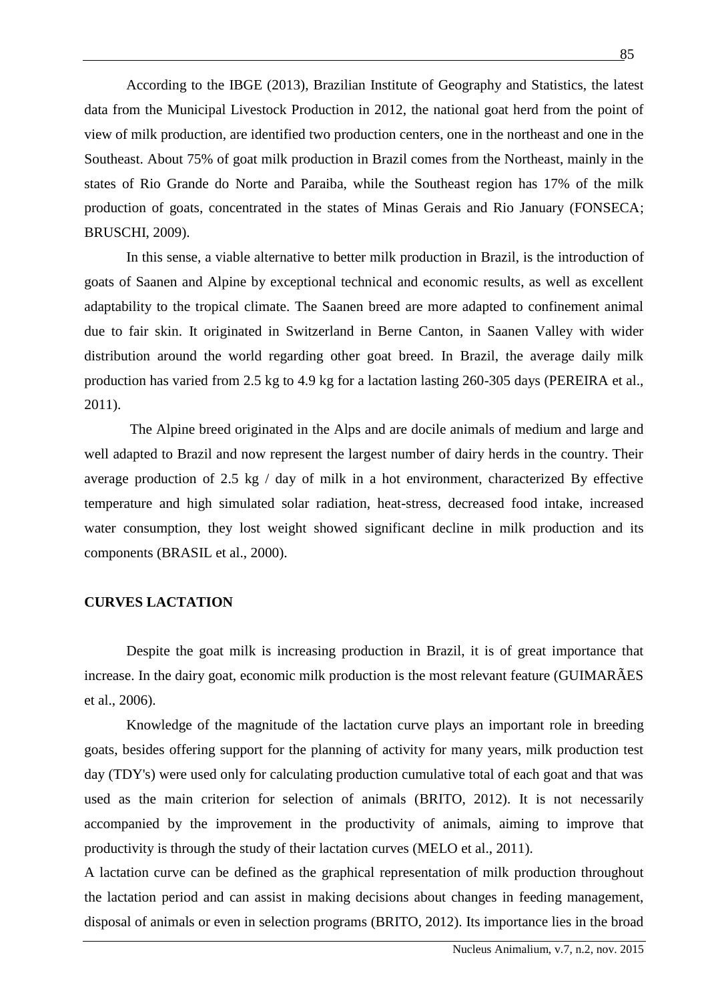According to the IBGE (2013), Brazilian Institute of Geography and Statistics, the latest data from the Municipal Livestock Production in 2012, the national goat herd from the point of view of milk production, are identified two production centers, one in the northeast and one in the Southeast. About 75% of goat milk production in Brazil comes from the Northeast, mainly in the states of Rio Grande do Norte and Paraiba, while the Southeast region has 17% of the milk production of goats, concentrated in the states of Minas Gerais and Rio January (FONSECA; BRUSCHI, 2009).

In this sense, a viable alternative to better milk production in Brazil, is the introduction of goats of Saanen and Alpine by exceptional technical and economic results, as well as excellent adaptability to the tropical climate. The Saanen breed are more adapted to confinement animal due to fair skin. It originated in Switzerland in Berne Canton, in Saanen Valley with wider distribution around the world regarding other goat breed. In Brazil, the average daily milk production has varied from 2.5 kg to 4.9 kg for a lactation lasting 260-305 days (PEREIRA et al., 2011).

The Alpine breed originated in the Alps and are docile animals of medium and large and well adapted to Brazil and now represent the largest number of dairy herds in the country. Their average production of 2.5 kg / day of milk in a hot environment, characterized By effective temperature and high simulated solar radiation, heat-stress, decreased food intake, increased water consumption, they lost weight showed significant decline in milk production and its components (BRASIL et al., 2000).

### **CURVES LACTATION**

Despite the goat milk is increasing production in Brazil, it is of great importance that increase. In the dairy goat, economic milk production is the most relevant feature (GUIMARÃES et al., 2006).

Knowledge of the magnitude of the lactation curve plays an important role in breeding goats, besides offering support for the planning of activity for many years, milk production test day (TDY's) were used only for calculating production cumulative total of each goat and that was used as the main criterion for selection of animals (BRITO, 2012). It is not necessarily accompanied by the improvement in the productivity of animals, aiming to improve that productivity is through the study of their lactation curves (MELO et al., 2011).

A lactation curve can be defined as the graphical representation of milk production throughout the lactation period and can assist in making decisions about changes in feeding management, disposal of animals or even in selection programs (BRITO, 2012). Its importance lies in the broad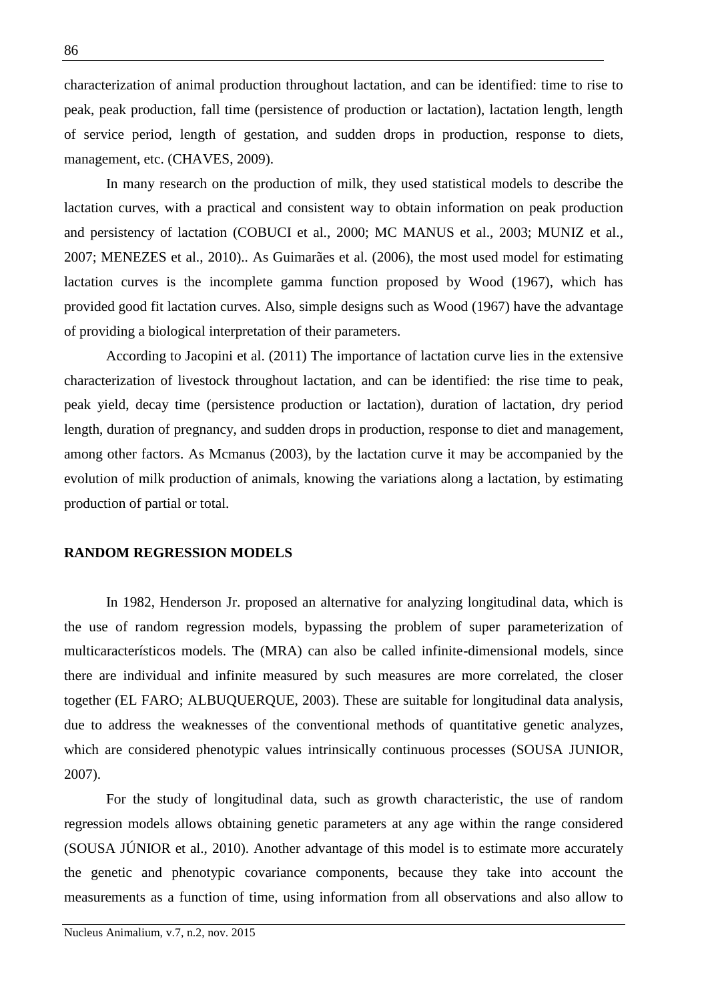characterization of animal production throughout lactation, and can be identified: time to rise to peak, peak production, fall time (persistence of production or lactation), lactation length, length of service period, length of gestation, and sudden drops in production, response to diets, management, etc. (CHAVES, 2009).

In many research on the production of milk, they used statistical models to describe the lactation curves, with a practical and consistent way to obtain information on peak production and persistency of lactation (COBUCI et al., 2000; MC MANUS et al., 2003; MUNIZ et al., 2007; MENEZES et al., 2010).. As Guimarães et al. (2006), the most used model for estimating lactation curves is the incomplete gamma function proposed by Wood (1967), which has provided good fit lactation curves. Also, simple designs such as Wood (1967) have the advantage of providing a biological interpretation of their parameters.

According to Jacopini et al. (2011) The importance of lactation curve lies in the extensive characterization of livestock throughout lactation, and can be identified: the rise time to peak, peak yield, decay time (persistence production or lactation), duration of lactation, dry period length, duration of pregnancy, and sudden drops in production, response to diet and management, among other factors. As Mcmanus (2003), by the lactation curve it may be accompanied by the evolution of milk production of animals, knowing the variations along a lactation, by estimating production of partial or total.

#### **RANDOM REGRESSION MODELS**

In 1982, Henderson Jr. proposed an alternative for analyzing longitudinal data, which is the use of random regression models, bypassing the problem of super parameterization of multicaracterísticos models. The (MRA) can also be called infinite-dimensional models, since there are individual and infinite measured by such measures are more correlated, the closer together (EL FARO; ALBUQUERQUE, 2003). These are suitable for longitudinal data analysis, due to address the weaknesses of the conventional methods of quantitative genetic analyzes, which are considered phenotypic values intrinsically continuous processes (SOUSA JUNIOR, 2007).

For the study of longitudinal data, such as growth characteristic, the use of random regression models allows obtaining genetic parameters at any age within the range considered (SOUSA JÚNIOR et al., 2010). Another advantage of this model is to estimate more accurately the genetic and phenotypic covariance components, because they take into account the measurements as a function of time, using information from all observations and also allow to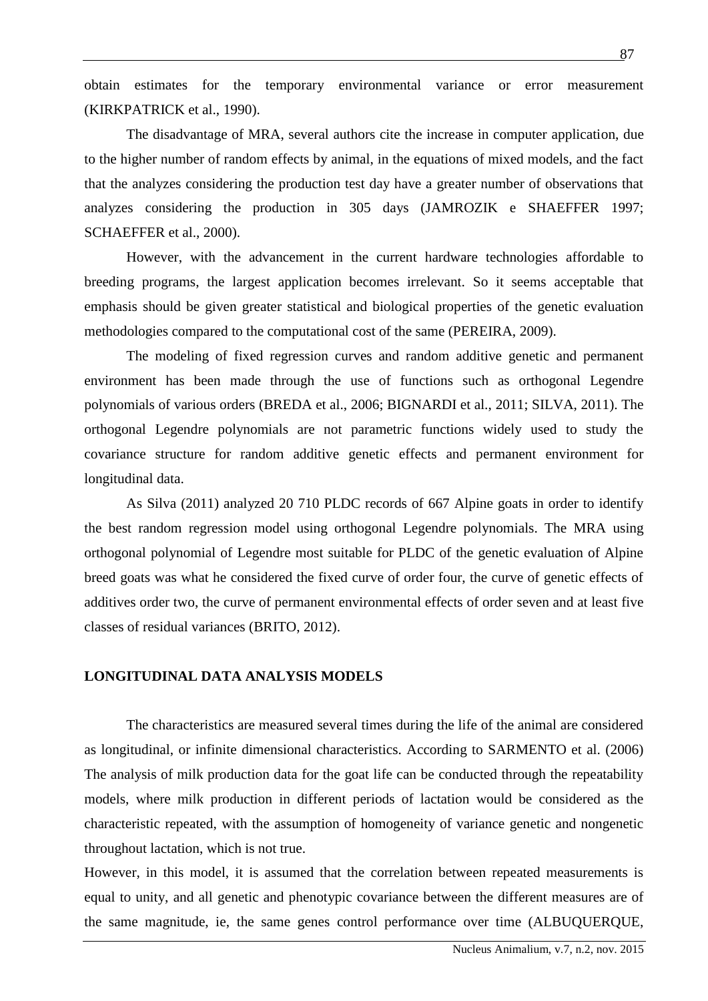obtain estimates for the temporary environmental variance or error measurement (KIRKPATRICK et al., 1990).

The disadvantage of MRA, several authors cite the increase in computer application, due to the higher number of random effects by animal, in the equations of mixed models, and the fact that the analyzes considering the production test day have a greater number of observations that analyzes considering the production in 305 days (JAMROZIK e SHAEFFER 1997; SCHAEFFER et al., 2000).

However, with the advancement in the current hardware technologies affordable to breeding programs, the largest application becomes irrelevant. So it seems acceptable that emphasis should be given greater statistical and biological properties of the genetic evaluation methodologies compared to the computational cost of the same (PEREIRA, 2009).

The modeling of fixed regression curves and random additive genetic and permanent environment has been made through the use of functions such as orthogonal Legendre polynomials of various orders (BREDA et al., 2006; BIGNARDI et al., 2011; SILVA, 2011). The orthogonal Legendre polynomials are not parametric functions widely used to study the covariance structure for random additive genetic effects and permanent environment for longitudinal data.

As Silva (2011) analyzed 20 710 PLDC records of 667 Alpine goats in order to identify the best random regression model using orthogonal Legendre polynomials. The MRA using orthogonal polynomial of Legendre most suitable for PLDC of the genetic evaluation of Alpine breed goats was what he considered the fixed curve of order four, the curve of genetic effects of additives order two, the curve of permanent environmental effects of order seven and at least five classes of residual variances (BRITO, 2012).

### **LONGITUDINAL DATA ANALYSIS MODELS**

The characteristics are measured several times during the life of the animal are considered as longitudinal, or infinite dimensional characteristics. According to SARMENTO et al. (2006) The analysis of milk production data for the goat life can be conducted through the repeatability models, where milk production in different periods of lactation would be considered as the characteristic repeated, with the assumption of homogeneity of variance genetic and nongenetic throughout lactation, which is not true.

However, in this model, it is assumed that the correlation between repeated measurements is equal to unity, and all genetic and phenotypic covariance between the different measures are of the same magnitude, ie, the same genes control performance over time (ALBUQUERQUE,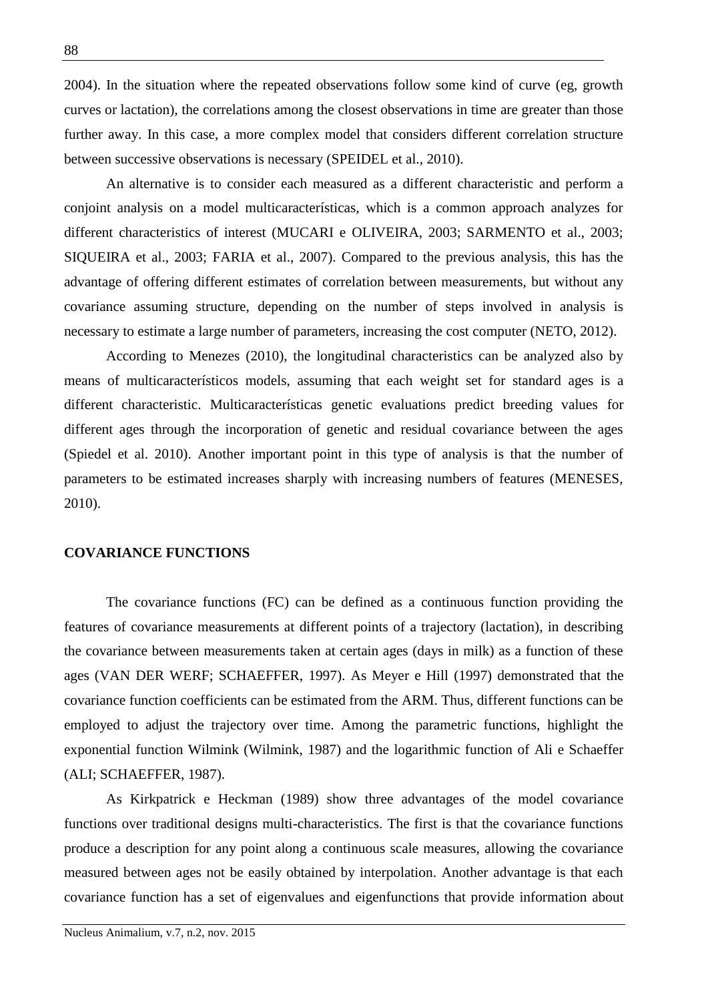2004). In the situation where the repeated observations follow some kind of curve (eg, growth curves or lactation), the correlations among the closest observations in time are greater than those further away. In this case, a more complex model that considers different correlation structure between successive observations is necessary (SPEIDEL et al., 2010).

An alternative is to consider each measured as a different characteristic and perform a conjoint analysis on a model multicaracterísticas, which is a common approach analyzes for different characteristics of interest (MUCARI e OLIVEIRA, 2003; SARMENTO et al., 2003; SIQUEIRA et al., 2003; FARIA et al., 2007). Compared to the previous analysis, this has the advantage of offering different estimates of correlation between measurements, but without any covariance assuming structure, depending on the number of steps involved in analysis is necessary to estimate a large number of parameters, increasing the cost computer (NETO, 2012).

According to Menezes (2010), the longitudinal characteristics can be analyzed also by means of multicaracterísticos models, assuming that each weight set for standard ages is a different characteristic. Multicaracterísticas genetic evaluations predict breeding values for different ages through the incorporation of genetic and residual covariance between the ages (Spiedel et al. 2010). Another important point in this type of analysis is that the number of parameters to be estimated increases sharply with increasing numbers of features (MENESES, 2010).

### **COVARIANCE FUNCTIONS**

The covariance functions (FC) can be defined as a continuous function providing the features of covariance measurements at different points of a trajectory (lactation), in describing the covariance between measurements taken at certain ages (days in milk) as a function of these ages (VAN DER WERF; SCHAEFFER, 1997). As Meyer e Hill (1997) demonstrated that the covariance function coefficients can be estimated from the ARM. Thus, different functions can be employed to adjust the trajectory over time. Among the parametric functions, highlight the exponential function Wilmink (Wilmink, 1987) and the logarithmic function of Ali e Schaeffer (ALI; SCHAEFFER, 1987).

As Kirkpatrick e Heckman (1989) show three advantages of the model covariance functions over traditional designs multi-characteristics. The first is that the covariance functions produce a description for any point along a continuous scale measures, allowing the covariance measured between ages not be easily obtained by interpolation. Another advantage is that each covariance function has a set of eigenvalues and eigenfunctions that provide information about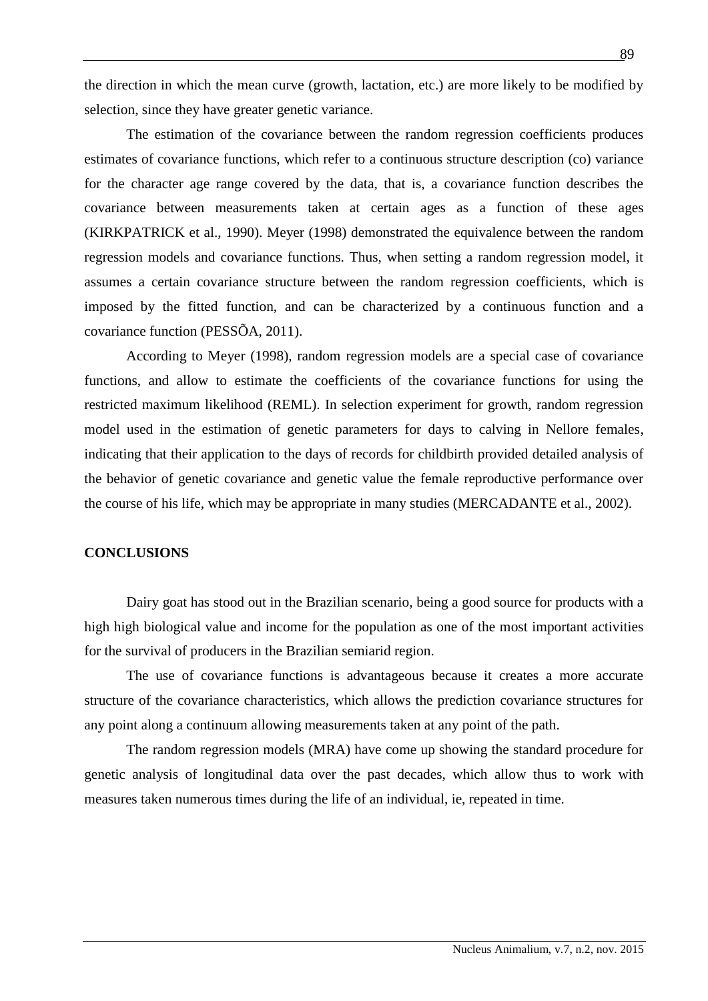the direction in which the mean curve (growth, lactation, etc.) are more likely to be modified by selection, since they have greater genetic variance.

The estimation of the covariance between the random regression coefficients produces estimates of covariance functions, which refer to a continuous structure description (co) variance for the character age range covered by the data, that is, a covariance function describes the covariance between measurements taken at certain ages as a function of these ages (KIRKPATRICK et al., 1990). Meyer (1998) demonstrated the equivalence between the random regression models and covariance functions. Thus, when setting a random regression model, it assumes a certain covariance structure between the random regression coefficients, which is imposed by the fitted function, and can be characterized by a continuous function and a covariance function (PESSÕA, 2011).

According to Meyer (1998), random regression models are a special case of covariance functions, and allow to estimate the coefficients of the covariance functions for using the restricted maximum likelihood (REML). In selection experiment for growth, random regression model used in the estimation of genetic parameters for days to calving in Nellore females, indicating that their application to the days of records for childbirth provided detailed analysis of the behavior of genetic covariance and genetic value the female reproductive performance over the course of his life, which may be appropriate in many studies (MERCADANTE et al., 2002).

# **CONCLUSIONS**

Dairy goat has stood out in the Brazilian scenario, being a good source for products with a high high biological value and income for the population as one of the most important activities for the survival of producers in the Brazilian semiarid region.

The use of covariance functions is advantageous because it creates a more accurate structure of the covariance characteristics, which allows the prediction covariance structures for any point along a continuum allowing measurements taken at any point of the path.

The random regression models (MRA) have come up showing the standard procedure for genetic analysis of longitudinal data over the past decades, which allow thus to work with measures taken numerous times during the life of an individual, ie, repeated in time.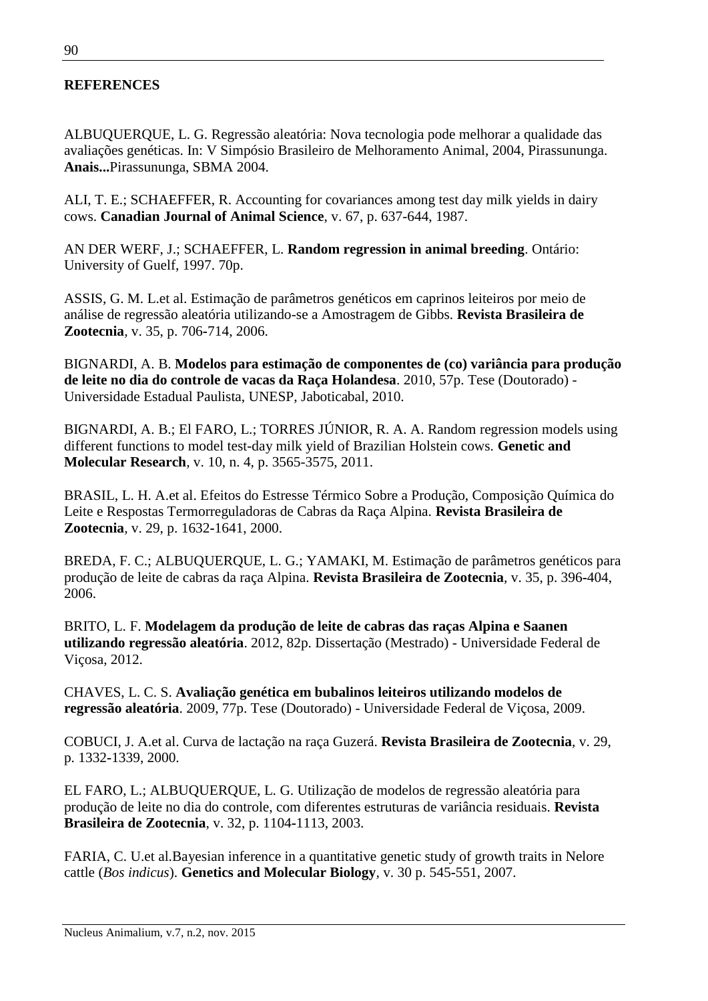# **REFERENCES**

ALBUQUERQUE, L. G. Regressão aleatória: Nova tecnologia pode melhorar a qualidade das avaliações genéticas. In: V Simpósio Brasileiro de Melhoramento Animal, 2004, Pirassununga. **Anais...**Pirassununga, SBMA 2004.

ALI, T. E.; SCHAEFFER, R. Accounting for covariances among test day milk yields in dairy cows. **Canadian Journal of Animal Science**, v. 67, p. 637-644, 1987.

AN DER WERF, J.; SCHAEFFER, L. **Random regression in animal breeding**. Ontário: University of Guelf, 1997. 70p.

ASSIS, G. M. L.et al. Estimação de parâmetros genéticos em caprinos leiteiros por meio de análise de regressão aleatória utilizando-se a Amostragem de Gibbs. **Revista Brasileira de Zootecnia***,* v. 35, p. 706**-**714, 2006.

BIGNARDI, A. B. **Modelos para estimação de componentes de (co) variância para produção de leite no dia do controle de vacas da Raça Holandesa**. 2010, 57p. Tese (Doutorado) - Universidade Estadual Paulista, UNESP, Jaboticabal, 2010.

BIGNARDI, A. B.; El FARO, L.; TORRES JÚNIOR, R. A. A. Random regression models using different functions to model test-day milk yield of Brazilian Holstein cows. **Genetic and Molecular Research***,* v. 10, n. 4, p. 3565-3575, 2011.

BRASIL, L. H. A.et al. Efeitos do Estresse Térmico Sobre a Produção, Composição Química do Leite e Respostas Termorreguladoras de Cabras da Raça Alpina. **Revista Brasileira de Zootecnia***,* v. 29, p. 1632**-**1641, 2000.

BREDA, F. C.; ALBUQUERQUE, L. G.; YAMAKI, M. Estimação de parâmetros genéticos para produção de leite de cabras da raça Alpina. **Revista Brasileira de Zootecnia***,* v. 35, p. 396**-**404, 2006.

BRITO, L. F. **Modelagem da produção de leite de cabras das raças Alpina e Saanen utilizando regressão aleatória**. 2012, 82p. Dissertação (Mestrado) - Universidade Federal de Viçosa, 2012.

CHAVES, L. C. S. **Avaliação genética em bubalinos leiteiros utilizando modelos de regressão aleatória**. 2009, 77p. Tese (Doutorado) - Universidade Federal de Viçosa, 2009.

COBUCI, J. A.et al. Curva de lactação na raça Guzerá. **Revista Brasileira de Zootecnia***,* v. 29, p. 1332**-**1339, 2000.

EL FARO, L.; ALBUQUERQUE, L. G. Utilização de modelos de regressão aleatória para produção de leite no dia do controle, com diferentes estruturas de variância residuais. **Revista Brasileira de Zootecnia***,* v. 32, p. 1104**-**1113, 2003.

FARIA, C. U.et al.Bayesian inference in a quantitative genetic study of growth traits in Nelore cattle (*Bos indicus*). **Genetics and Molecular Biology***,* v. 30 p. 545**-**551, 2007.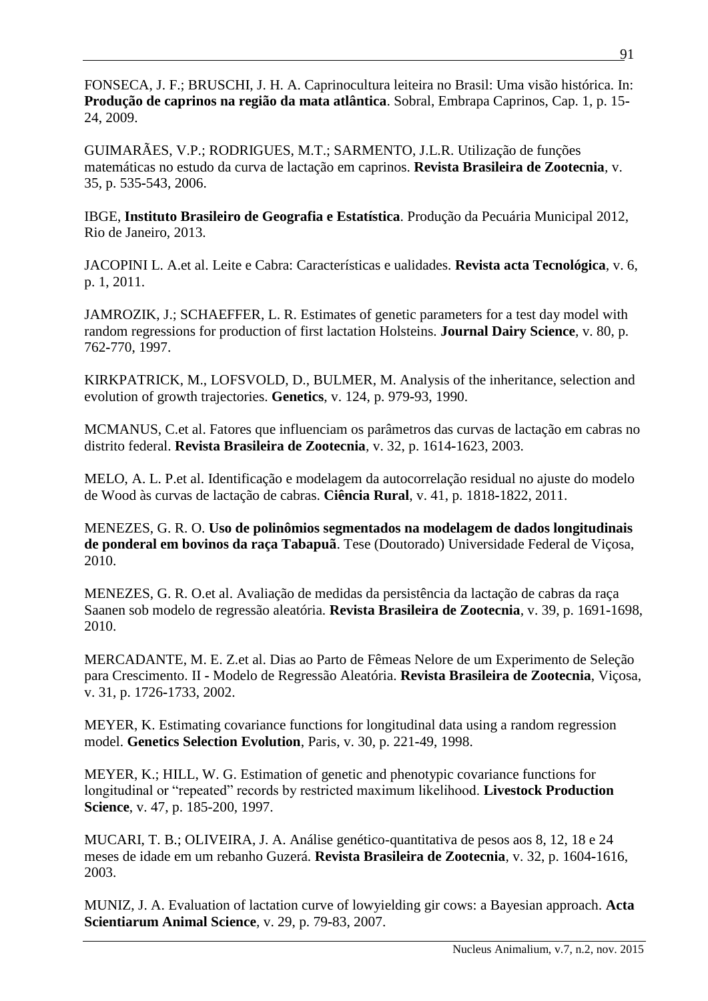FONSECA, J. F.; BRUSCHI, J. H. A. Caprinocultura leiteira no Brasil: Uma visão histórica. In: **Produção de caprinos na região da mata atlântica**. Sobral, Embrapa Caprinos, Cap. 1, p. 15**-** 24, 2009.

GUIMARÃES, V.P.; RODRIGUES, M.T.; SARMENTO, J.L.R. Utilização de funções matemáticas no estudo da curva de lactação em caprinos. **Revista Brasileira de Zootecnia***,* v. 35, p. 535**-**543, 2006.

IBGE, **Instituto Brasileiro de Geografia e Estatística**. Produção da Pecuária Municipal 2012, Rio de Janeiro, 2013.

JACOPINI L. A.et al. Leite e Cabra: Características e ualidades. **Revista acta Tecnológica***,* v. 6, p. 1, 2011.

JAMROZIK, J.; SCHAEFFER, L. R. Estimates of genetic parameters for a test day model with random regressions for production of first lactation Holsteins. **Journal Dairy Science***,* v. 80, p. 762**-**770, 1997.

KIRKPATRICK, M., LOFSVOLD, D., BULMER, M. Analysis of the inheritance, selection and evolution of growth trajectories. **Genetics**, v. 124, p. 979**-**93, 1990.

MCMANUS, C.et al. Fatores que influenciam os parâmetros das curvas de lactação em cabras no distrito federal. **Revista Brasileira de Zootecnia***,* v. 32, p. 1614**-**1623, 2003.

MELO, A. L. P.et al. Identificação e modelagem da autocorrelação residual no ajuste do modelo de Wood às curvas de lactação de cabras. **Ciência Rural***,* v. 41, p. 1818**-**1822, 2011.

MENEZES, G. R. O. **Uso de polinômios segmentados na modelagem de dados longitudinais de ponderal em bovinos da raça Tabapuã**. Tese (Doutorado) Universidade Federal de Viçosa, 2010.

MENEZES, G. R. O.et al. Avaliação de medidas da persistência da lactação de cabras da raça Saanen sob modelo de regressão aleatória. **Revista Brasileira de Zootecnia***,* v. 39, p. 1691**-**1698, 2010.

MERCADANTE, M. E. Z.et al. Dias ao Parto de Fêmeas Nelore de um Experimento de Seleção para Crescimento. II **-** Modelo de Regressão Aleatória. **Revista Brasileira de Zootecnia**, Viçosa, v. 31, p. 1726**-**1733, 2002.

MEYER, K. Estimating covariance functions for longitudinal data using a random regression model. **Genetics Selection Evolution**, Paris, v. 30, p. 221**-**49, 1998.

MEYER, K.; HILL, W. G. Estimation of genetic and phenotypic covariance functions for longitudinal or "repeated" records by restricted maximum likelihood. **Livestock Production Science**, v. 47, p. 185-200, 1997.

MUCARI, T. B.; OLIVEIRA, J. A. Análise genético-quantitativa de pesos aos 8, 12, 18 e 24 meses de idade em um rebanho Guzerá. **Revista Brasileira de Zootecnia***,* v. 32, p. 1604**-**1616, 2003.

MUNIZ, J. A. Evaluation of lactation curve of lowyielding gir cows: a Bayesian approach. **Acta Scientiarum Animal Science***,* v. 29, p. 79**-**83, 2007.